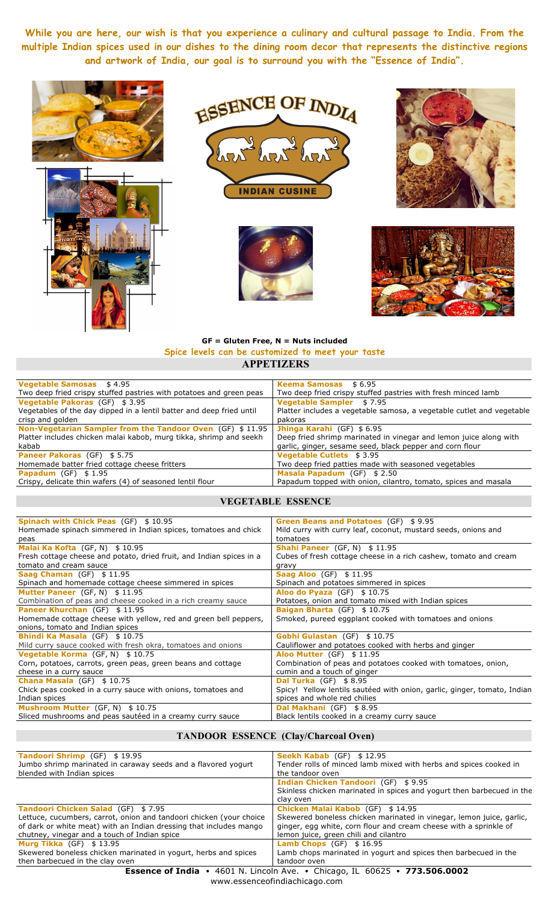**While you are here, our wish is that you experience a culinary and cultural passage to India. From the multiple Indian spices used in our dishes to the dining room decor that represents the distinctive regions and artwork of India, our goal is to surround you with the "Essence of India".**











#### **GF = Gluten Free, N = Nuts included Spice levels can be customized to meet your taste APPETIZERS**

| <b>Keema Samosas</b> \$6.95                                           |
|-----------------------------------------------------------------------|
| Two deep fried crispy stuffed pastries with fresh minced lamb         |
| <b>Vegetable Sampler</b> \$7.95                                       |
| Platter includes a vegetable samosa, a vegetable cutlet and vegetable |
| pakoras                                                               |
| Jhinga Karahi (GF) \$6.95                                             |
| Deep fried shrimp marinated in vinegar and lemon juice along with     |
| garlic, ginger, sesame seed, black pepper and corn flour              |
| <b>Vegetable Cutlets \$3.95</b>                                       |
| Two deep fried patties made with seasoned vegetables                  |
| Masala Papadum (GF) \$2.50                                            |
| Papadum topped with onion, cilantro, tomato, spices and masala        |
|                                                                       |

# **VEGETABLE ESSENCE**

| <b>Spinach with Chick Peas (GF) \$10.95</b>                          | Green Beans and Potatoes (GF) \$9.95                                     |
|----------------------------------------------------------------------|--------------------------------------------------------------------------|
| Homemade spinach simmered in Indian spices, tomatoes and chick       | Mild curry with curry leaf, coconut, mustard seeds, onions and           |
| peas                                                                 | tomatoes                                                                 |
| Malai Ka Kofta (GF, N) \$10.95                                       | <b>Shahi Paneer</b> (GF, N) $$11.95$                                     |
| Fresh cottage cheese and potato, dried fruit, and Indian spices in a | Cubes of fresh cottage cheese in a rich cashew, tomato and cream         |
| tomato and cream sauce                                               | gravy                                                                    |
| Saag Chaman $(GF)$ \$ 11.95                                          | <b>Saag Aloo</b> (GF) \$11.95                                            |
| Spinach and homemade cottage cheese simmered in spices               | Spinach and potatoes simmered in spices                                  |
| Mutter Paneer (GF, N) \$11.95                                        | Aloo do Pyaza $(GF)$ \$10.75                                             |
| Combination of peas and cheese cooked in a rich creamy sauce         | Potatoes, onion and tomato mixed with Indian spices                      |
| <b>Paneer Khurchan</b> (GF) \$11.95                                  | <b>Baigan Bharta (GF) \$10.75</b>                                        |
| Homemade cottage cheese with yellow, red and green bell peppers,     | Smoked, pureed eggplant cooked with tomatoes and onions                  |
| onions, tomato and Indian spices                                     |                                                                          |
| <b>Bhindi Ka Masala (GF) \$10.75</b>                                 | Gobhi Gulastan (GF) \$10.75                                              |
| Mild curry sauce cooked with fresh okra, tomatoes and onions         | Cauliflower and potatoes cooked with herbs and ginger                    |
| Vegetable Korma (GF, N) \$10.75                                      | <b>Aloo Mutter (GF) \$11.95</b>                                          |
| Corn, potatoes, carrots, green peas, green beans and cottage         | Combination of peas and potatoes cooked with tomatoes, onion,            |
| cheese in a curry sauce                                              | cumin and a touch of ginger                                              |
| <b>Chana Masala</b> (GF) $$10.75$                                    | <b>Dal Turka</b> (GF) $$8.95$                                            |
| Chick peas cooked in a curry sauce with onions, tomatoes and         | Spicy! Yellow lentils sautéed with onion, garlic, ginger, tomato, Indian |
| Indian spices                                                        | spices and whole red chilies                                             |
| Mushroom Mutter (GF, N) \$10.75                                      | Dal Makhani (GF) \$8.95                                                  |
| Sliced mushrooms and peas sautéed in a creamy curry sauce            | Black lentils cooked in a creamy curry sauce                             |

## **TANDOOR ESSENCE (Clay/Charcoal Oven)**

| <b>Tandoori Shrimp</b> (GF) \$19.95                                 | Seekh Kabab (GF) \$12.95                                                       |
|---------------------------------------------------------------------|--------------------------------------------------------------------------------|
| Jumbo shrimp marinated in caraway seeds and a flavored yogurt       | Tender rolls of minced lamb mixed with herbs and spices cooked in              |
| blended with Indian spices                                          | the tandoor oven                                                               |
|                                                                     | <b>Indian Chicken Tandoori (GF) \$9.95</b>                                     |
|                                                                     | Skinless chicken marinated in spices and yogurt then barbecued in the          |
|                                                                     | clav oven                                                                      |
| <b>Tandoori Chicken Salad (GF) \$7.95</b>                           | Chicken Malai Kabob (GF) \$14.95                                               |
| Lettuce, cucumbers, carrot, onion and tandoori chicken (your choice | Skewered boneless chicken marinated in vinegar, lemon juice, garlic,           |
| of dark or white meat) with an Indian dressing that includes mango  | ginger, egg white, corn flour and cream cheese with a sprinkle of              |
| chutney, vinegar and a touch of Indian spice                        | lemon juice, green chili and cilantro                                          |
| <b>Murg Tikka</b> $(GF)$ \$13.95                                    | <b>Lamb Chops</b> $(GF)$ \$ 16.95                                              |
| Skewered boneless chicken marinated in yogurt, herbs and spices     | Lamb chops marinated in yogurt and spices then barbecued in the                |
| then barbecued in the clay oven                                     | tandoor oven                                                                   |
|                                                                     | <b>Essence of India •</b> 4601 N Lincoln Ave • Chicago IL 60625 • 773 506 0002 |

**Essence of India** •4601 N. Lincoln Ave.•Chicago, IL 60625• **773.506.0002** www.essenceofindiachicago.com